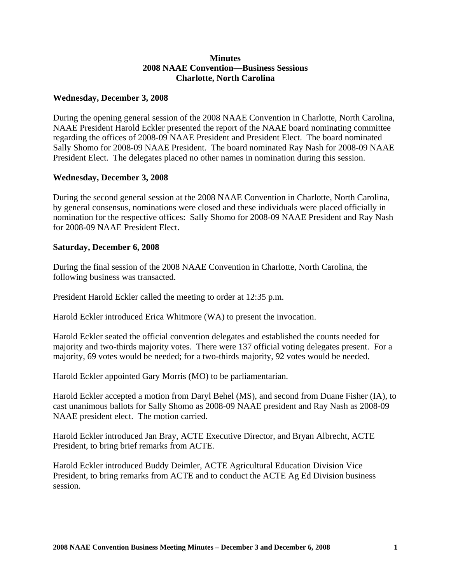## **Minutes 2008 NAAE Convention—Business Sessions Charlotte, North Carolina**

## **Wednesday, December 3, 2008**

During the opening general session of the 2008 NAAE Convention in Charlotte, North Carolina, NAAE President Harold Eckler presented the report of the NAAE board nominating committee regarding the offices of 2008-09 NAAE President and President Elect. The board nominated Sally Shomo for 2008-09 NAAE President. The board nominated Ray Nash for 2008-09 NAAE President Elect. The delegates placed no other names in nomination during this session.

## **Wednesday, December 3, 2008**

During the second general session at the 2008 NAAE Convention in Charlotte, North Carolina, by general consensus, nominations were closed and these individuals were placed officially in nomination for the respective offices: Sally Shomo for 2008-09 NAAE President and Ray Nash for 2008-09 NAAE President Elect.

## **Saturday, December 6, 2008**

During the final session of the 2008 NAAE Convention in Charlotte, North Carolina, the following business was transacted.

President Harold Eckler called the meeting to order at 12:35 p.m.

Harold Eckler introduced Erica Whitmore (WA) to present the invocation.

Harold Eckler seated the official convention delegates and established the counts needed for majority and two-thirds majority votes. There were 137 official voting delegates present. For a majority, 69 votes would be needed; for a two-thirds majority, 92 votes would be needed.

Harold Eckler appointed Gary Morris (MO) to be parliamentarian.

Harold Eckler accepted a motion from Daryl Behel (MS), and second from Duane Fisher (IA), to cast unanimous ballots for Sally Shomo as 2008-09 NAAE president and Ray Nash as 2008-09 NAAE president elect. The motion carried.

Harold Eckler introduced Jan Bray, ACTE Executive Director, and Bryan Albrecht, ACTE President, to bring brief remarks from ACTE.

Harold Eckler introduced Buddy Deimler, ACTE Agricultural Education Division Vice President, to bring remarks from ACTE and to conduct the ACTE Ag Ed Division business session.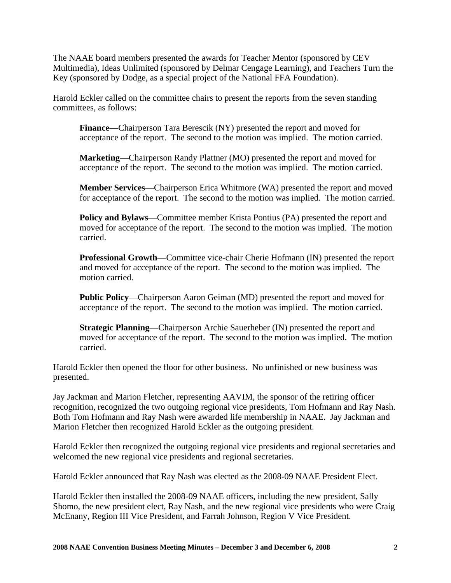The NAAE board members presented the awards for Teacher Mentor (sponsored by CEV Multimedia), Ideas Unlimited (sponsored by Delmar Cengage Learning), and Teachers Turn the Key (sponsored by Dodge, as a special project of the National FFA Foundation).

Harold Eckler called on the committee chairs to present the reports from the seven standing committees, as follows:

**Finance**—Chairperson Tara Berescik (NY) presented the report and moved for acceptance of the report. The second to the motion was implied. The motion carried.

**Marketing**—Chairperson Randy Plattner (MO) presented the report and moved for acceptance of the report. The second to the motion was implied. The motion carried.

**Member Services**—Chairperson Erica Whitmore (WA) presented the report and moved for acceptance of the report. The second to the motion was implied. The motion carried.

**Policy and Bylaws**—Committee member Krista Pontius (PA) presented the report and moved for acceptance of the report. The second to the motion was implied. The motion carried.

**Professional Growth**—Committee vice-chair Cherie Hofmann (IN) presented the report and moved for acceptance of the report. The second to the motion was implied. The motion carried.

**Public Policy**—Chairperson Aaron Geiman (MD) presented the report and moved for acceptance of the report. The second to the motion was implied. The motion carried.

**Strategic Planning**—Chairperson Archie Sauerheber (IN) presented the report and moved for acceptance of the report. The second to the motion was implied. The motion carried.

Harold Eckler then opened the floor for other business. No unfinished or new business was presented.

Jay Jackman and Marion Fletcher, representing AAVIM, the sponsor of the retiring officer recognition, recognized the two outgoing regional vice presidents, Tom Hofmann and Ray Nash. Both Tom Hofmann and Ray Nash were awarded life membership in NAAE. Jay Jackman and Marion Fletcher then recognized Harold Eckler as the outgoing president.

Harold Eckler then recognized the outgoing regional vice presidents and regional secretaries and welcomed the new regional vice presidents and regional secretaries.

Harold Eckler announced that Ray Nash was elected as the 2008-09 NAAE President Elect.

Harold Eckler then installed the 2008-09 NAAE officers, including the new president, Sally Shomo, the new president elect, Ray Nash, and the new regional vice presidents who were Craig McEnany, Region III Vice President, and Farrah Johnson, Region V Vice President.